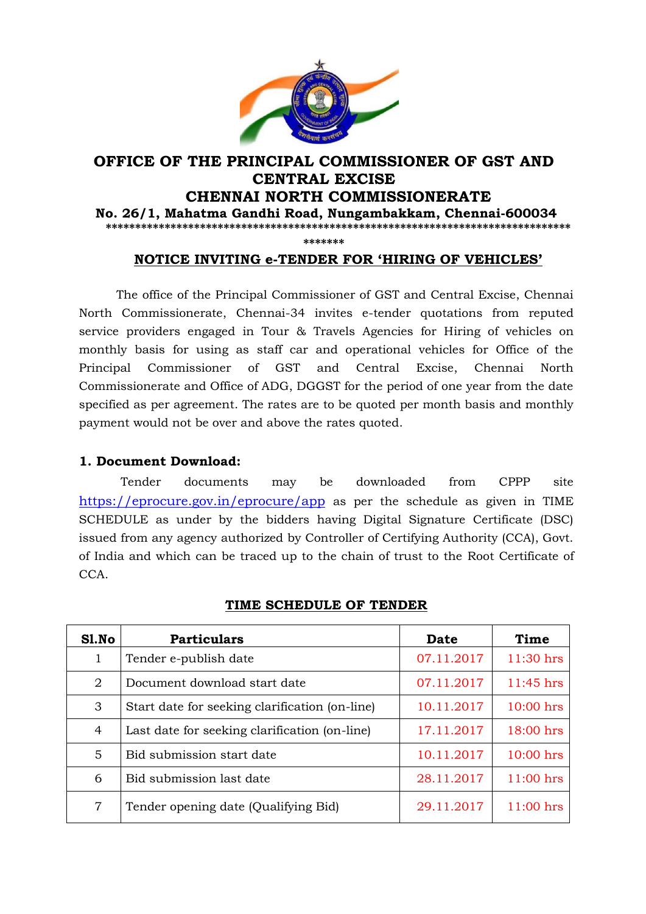

## **OFFICE OF THE PRINCIPAL COMMISSIONER OF GST AND CENTRAL EXCISE CHENNAI NORTH COMMISSIONERATE No. 26/1, Mahatma Gandhi Road, Nungambakkam, Chennai-600034 \*\*\*\*\*\*\*\*\*\*\*\*\*\*\*\*\*\*\*\*\*\*\*\*\*\*\*\*\*\*\*\*\*\*\*\*\*\*\*\*\*\*\*\*\*\*\*\*\*\*\*\*\*\*\*\*\*\*\*\*\*\*\*\*\*\*\*\*\*\*\*\*\*\*\*\*\*\*\***

**\*\*\*\*\*\*\***

## **NOTICE INVITING e-TENDER FOR "HIRING OF VEHICLES"**

 The office of the Principal Commissioner of GST and Central Excise, Chennai North Commissionerate, Chennai-34 invites e-tender quotations from reputed service providers engaged in Tour & Travels Agencies for Hiring of vehicles on monthly basis for using as staff car and operational vehicles for Office of the Principal Commissioner of GST and Central Excise, Chennai North Commissionerate and Office of ADG, DGGST for the period of one year from the date specified as per agreement. The rates are to be quoted per month basis and monthly payment would not be over and above the rates quoted.

## **1. Document Download:**

 Tender documents may be downloaded from CPPP site https://eprocure.gov.in/eprocure/app as per the schedule as given in TIME SCHEDULE as under by the bidders having Digital Signature Certificate (DSC) issued from any agency authorized by Controller of Certifying Authority (CCA), Govt. of India and which can be traced up to the chain of trust to the Root Certificate of CCA.

| Sl.No | <b>Particulars</b>                             | Date       | Time        |
|-------|------------------------------------------------|------------|-------------|
| 1     | Tender e-publish date                          | 07.11.2017 | $11:30$ hrs |
| 2     | Document download start date                   | 07.11.2017 | 11:45 hrs   |
| 3     | Start date for seeking clarification (on-line) | 10.11.2017 | $10:00$ hrs |
| 4     | Last date for seeking clarification (on-line)  | 17.11.2017 | 18:00 hrs   |
| 5     | Bid submission start date                      | 10.11.2017 | $10:00$ hrs |
| 6     | Bid submission last date                       | 28.11.2017 | 11:00 hrs   |
| 7     | Tender opening date (Qualifying Bid)           | 29.11.2017 | 11:00 hrs   |

#### **TIME SCHEDULE OF TENDER**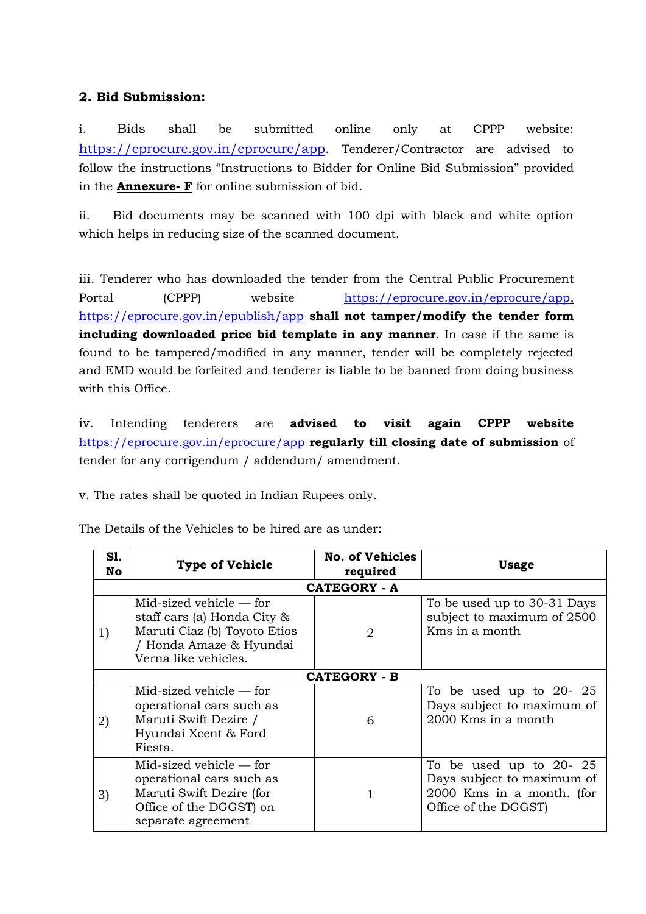# **2. Bid Submission:**

i. Bids shall be submitted online only at CPPP website: [https://eprocure.gov.in/eprocure/app.](https://eprocure.gov.in/eprocure/app) Tenderer/Contractor are advised to follow the instructions "Instructions to Bidder for Online Bid Submission" provided in the **Annexure- F** for online submission of bid.

ii. Bid documents may be scanned with 100 dpi with black and white option which helps in reducing size of the scanned document.

iii. Tenderer who has downloaded the tender from the Central Public Procurement Portal (CPPP) website [https://eprocure.gov.in/eprocure/app,](https://eprocure.gov.in/eprocure/app) https://eprocure.gov.in/epublish/app **shall not tamper/modify the tender form including downloaded price bid template in any manner**. In case if the same is found to be tampered/modified in any manner, tender will be completely rejected and EMD would be forfeited and tenderer is liable to be banned from doing business with this Office.

iv. Intending tenderers are **advised to visit again CPPP website** https://eprocure.gov.in/eprocure/app **regularly till closing date of submission** of tender for any corrigendum / addendum/ amendment.

v. The rates shall be quoted in Indian Rupees only.

| S1.<br>No           | <b>Type of Vehicle</b>                                                                                                                      | <b>No. of Vehicles</b><br>required | <b>Usage</b>                                                                                                |  |  |  |  |
|---------------------|---------------------------------------------------------------------------------------------------------------------------------------------|------------------------------------|-------------------------------------------------------------------------------------------------------------|--|--|--|--|
| <b>CATEGORY - A</b> |                                                                                                                                             |                                    |                                                                                                             |  |  |  |  |
| 1)                  | Mid-sized vehicle $-$ for<br>staff cars (a) Honda City &<br>Maruti Ciaz (b) Toyoto Etios<br>/ Honda Amaze & Hyundai<br>Verna like vehicles. | 2                                  | To be used up to 30-31 Days<br>subject to maximum of 2500<br>Kms in a month                                 |  |  |  |  |
|                     | <b>CATEGORY - B</b>                                                                                                                         |                                    |                                                                                                             |  |  |  |  |
| 2)                  | Mid-sized vehicle $-$ for<br>operational cars such as<br>Maruti Swift Dezire /<br>Hyundai Xcent & Ford<br>Fiesta.                           | 6                                  | To be used up to $20-25$<br>Days subject to maximum of<br>2000 Kms in a month                               |  |  |  |  |
| 3)                  | Mid-sized vehicle — for<br>operational cars such as<br>Maruti Swift Dezire (for<br>Office of the DGGST) on<br>separate agreement            |                                    | To be used up to $20-25$<br>Days subject to maximum of<br>2000 Kms in a month. (for<br>Office of the DGGST) |  |  |  |  |

The Details of the Vehicles to be hired are as under: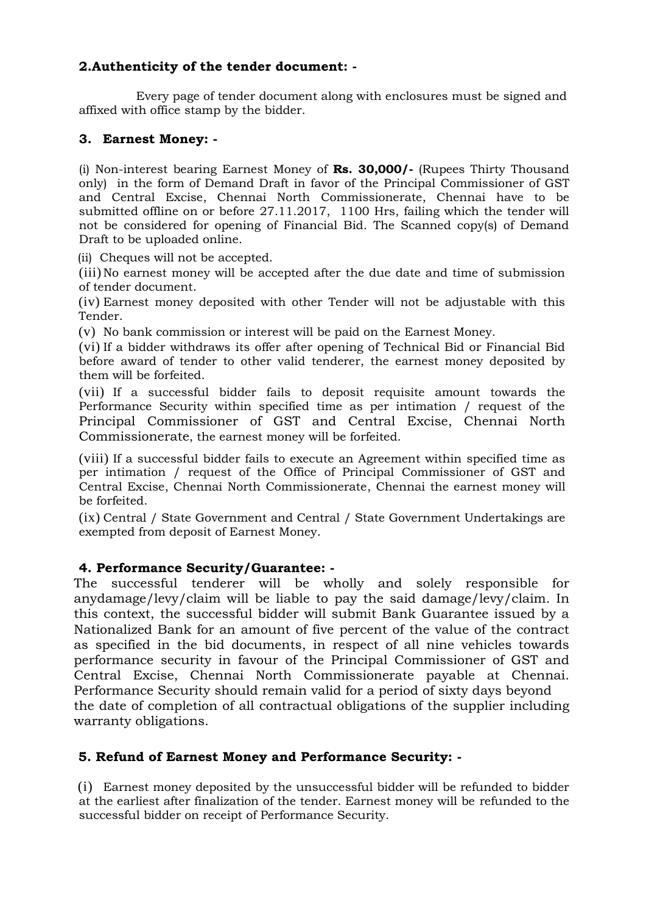## **2.Authenticity of the tender document: -**

 Every page of tender document along with enclosures must be signed and affixed with office stamp by the bidder.

## **3. Earnest Money: -**

(i) Non-interest bearing Earnest Money of **Rs. 30,000/-** (Rupees Thirty Thousand only) in the form of Demand Draft in favor of the Principal Commissioner of GST and Central Excise, Chennai North Commissionerate, Chennai have to be submitted offline on or before 27.11.2017, 1100 Hrs, failing which the tender will not be considered for opening of Financial Bid. The Scanned copy(s) of Demand Draft to be uploaded online.

(ii) Cheques will not be accepted.

(iii) No earnest money will be accepted after the due date and time of submission of tender document.

(iv) Earnest money deposited with other Tender will not be adjustable with this Tender.

(v) No bank commission or interest will be paid on the Earnest Money.

(vi) If a bidder withdraws its offer after opening of Technical Bid or Financial Bid before award of tender to other valid tenderer, the earnest money deposited by them will be forfeited.

(vii) If a successful bidder fails to deposit requisite amount towards the Performance Security within specified time as per intimation / request of the Principal Commissioner of GST and Central Excise, Chennai North Commissionerate, the earnest money will be forfeited.

(viii) If a successful bidder fails to execute an Agreement within specified time as per intimation / request of the Office of Principal Commissioner of GST and Central Excise, Chennai North Commissionerate, Chennai the earnest money will be forfeited.

(ix) Central / State Government and Central / State Government Undertakings are exempted from deposit of Earnest Money.

## **4. Performance Security/Guarantee: -**

The successful tenderer will be wholly and solely responsible for anydamage/levy/claim will be liable to pay the said damage/levy/claim. In this context, the successful bidder will submit Bank Guarantee issued by a Nationalized Bank for an amount of five percent of the value of the contract as specified in the bid documents, in respect of all nine vehicles towards performance security in favour of the Principal Commissioner of GST and Central Excise, Chennai North Commissionerate payable at Chennai. Performance Security should remain valid for a period of sixty days beyond the date of completion of all contractual obligations of the supplier including warranty obligations.

## **5. Refund of Earnest Money and Performance Security: -**

(i) Earnest money deposited by the unsuccessful bidder will be refunded to bidder at the earliest after finalization of the tender. Earnest money will be refunded to the successful bidder on receipt of Performance Security.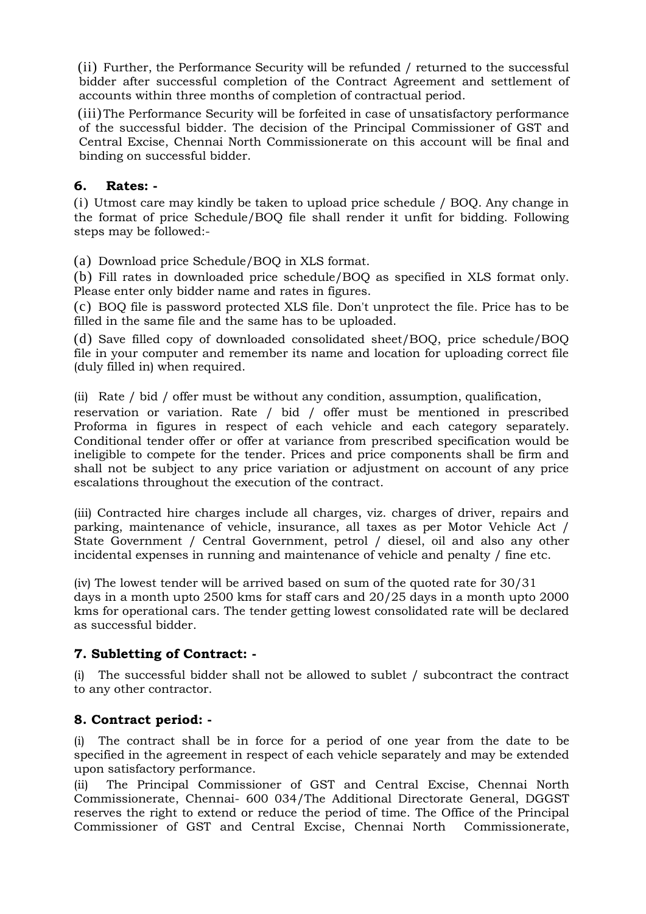(ii) Further, the Performance Security will be refunded / returned to the successful bidder after successful completion of the Contract Agreement and settlement of accounts within three months of completion of contractual period.

(iii)The Performance Security will be forfeited in case of unsatisfactory performance of the successful bidder. The decision of the Principal Commissioner of GST and Central Excise, Chennai North Commissionerate on this account will be final and binding on successful bidder.

## **6. Rates: -**

 $(i)$  Utmost care may kindly be taken to upload price schedule / BOQ. Any change in the format of price Schedule/BOQ file shall render it unfit for bidding. Following steps may be followed:-

(a) Download price Schedule/BOQ in XLS format.

(b) Fill rates in downloaded price schedule/BOQ as specified in XLS format only. Please enter only bidder name and rates in figures.

(c) BOQ file is password protected XLS file. Don't unprotect the file. Price has to be filled in the same file and the same has to be uploaded.

(d) Save filled copy of downloaded consolidated sheet/BOQ, price schedule/BOQ file in your computer and remember its name and location for uploading correct file (duly filled in) when required.

(ii) Rate / bid / offer must be without any condition, assumption, qualification,

reservation or variation. Rate / bid / offer must be mentioned in prescribed Proforma in figures in respect of each vehicle and each category separately. Conditional tender offer or offer at variance from prescribed specification would be ineligible to compete for the tender. Prices and price components shall be firm and shall not be subject to any price variation or adjustment on account of any price escalations throughout the execution of the contract.

(iii) Contracted hire charges include all charges, viz. charges of driver, repairs and parking, maintenance of vehicle, insurance, all taxes as per Motor Vehicle Act / State Government / Central Government, petrol / diesel, oil and also any other incidental expenses in running and maintenance of vehicle and penalty / fine etc.

(iv) The lowest tender will be arrived based on sum of the quoted rate for 30/31 days in a month upto 2500 kms for staff cars and 20/25 days in a month upto 2000 kms for operational cars. The tender getting lowest consolidated rate will be declared as successful bidder.

## **7. Subletting of Contract: -**

(i) The successful bidder shall not be allowed to sublet / subcontract the contract to any other contractor.

#### **8. Contract period: -**

(i) The contract shall be in force for a period of one year from the date to be specified in the agreement in respect of each vehicle separately and may be extended upon satisfactory performance.

(ii) The Principal Commissioner of GST and Central Excise, Chennai North Commissionerate, Chennai- 600 034/The Additional Directorate General, DGGST reserves the right to extend or reduce the period of time. The Office of the Principal Commissioner of GST and Central Excise, Chennai North Commissionerate,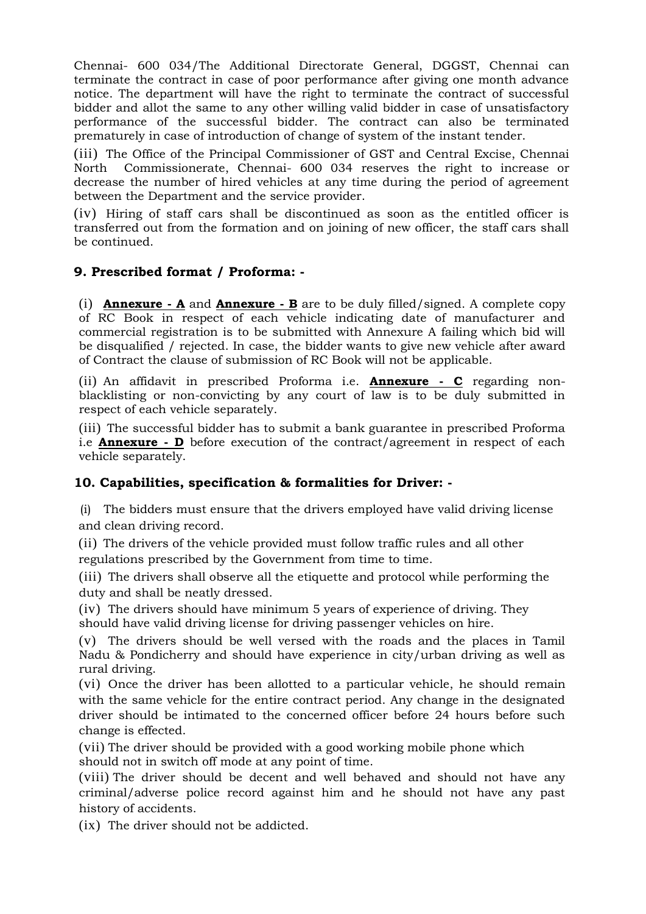Chennai- 600 034/The Additional Directorate General, DGGST, Chennai can terminate the contract in case of poor performance after giving one month advance notice. The department will have the right to terminate the contract of successful bidder and allot the same to any other willing valid bidder in case of unsatisfactory performance of the successful bidder. The contract can also be terminated prematurely in case of introduction of change of system of the instant tender.

(iii) The Office of the Principal Commissioner of GST and Central Excise, Chennai North Commissionerate, Chennai- 600 034 reserves the right to increase or decrease the number of hired vehicles at any time during the period of agreement between the Department and the service provider.

(iv) Hiring of staff cars shall be discontinued as soon as the entitled officer is transferred out from the formation and on joining of new officer, the staff cars shall be continued.

## **9. Prescribed format / Proforma: -**

(i) **Annexure - A** and **Annexure - B** are to be duly filled/signed. A complete copy of RC Book in respect of each vehicle indicating date of manufacturer and commercial registration is to be submitted with Annexure A failing which bid will be disqualified / rejected. In case, the bidder wants to give new vehicle after award of Contract the clause of submission of RC Book will not be applicable.

(ii) An affidavit in prescribed Proforma i.e. **Annexure - C** regarding nonblacklisting or non-convicting by any court of law is to be duly submitted in respect of each vehicle separately.

(iii) The successful bidder has to submit a bank guarantee in prescribed Proforma i.e **Annexure - D** before execution of the contract/agreement in respect of each vehicle separately.

## **10. Capabilities, specification & formalities for Driver: -**

 (i) The bidders must ensure that the drivers employed have valid driving license and clean driving record.

(ii) The drivers of the vehicle provided must follow traffic rules and all other regulations prescribed by the Government from time to time.

(iii) The drivers shall observe all the etiquette and protocol while performing the duty and shall be neatly dressed.

(iv) The drivers should have minimum 5 years of experience of driving. They should have valid driving license for driving passenger vehicles on hire.

(v) The drivers should be well versed with the roads and the places in Tamil Nadu & Pondicherry and should have experience in city/urban driving as well as rural driving.

(vi) Once the driver has been allotted to a particular vehicle, he should remain with the same vehicle for the entire contract period. Any change in the designated driver should be intimated to the concerned officer before 24 hours before such change is effected.

(vii) The driver should be provided with a good working mobile phone which should not in switch off mode at any point of time.

(viii) The driver should be decent and well behaved and should not have any criminal/adverse police record against him and he should not have any past history of accidents.

(ix) The driver should not be addicted.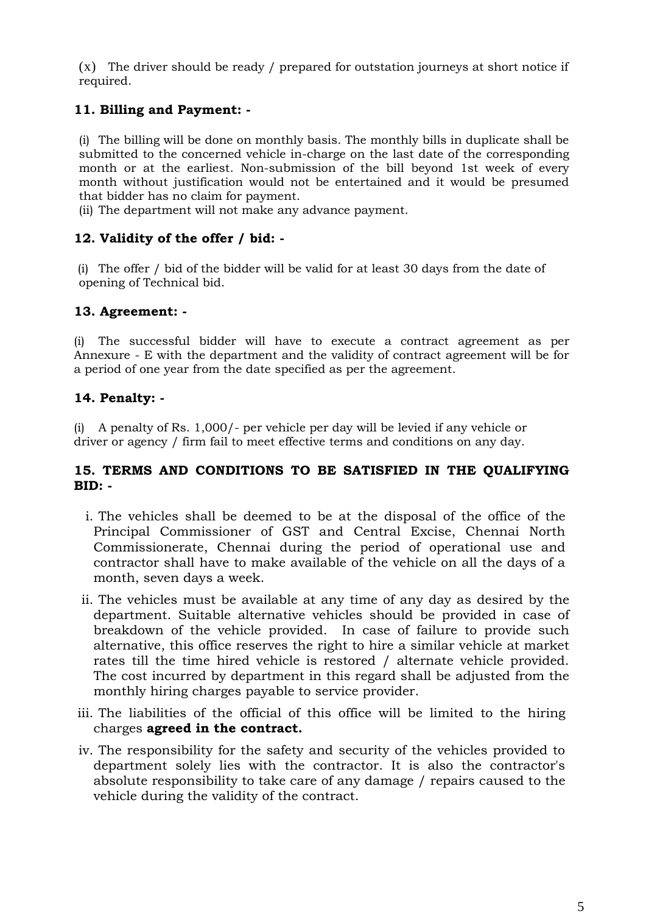(x) The driver should be ready / prepared for outstation journeys at short notice if required.

# **11. Billing and Payment: -**

(i) The billing will be done on monthly basis. The monthly bills in duplicate shall be submitted to the concerned vehicle in-charge on the last date of the corresponding month or at the earliest. Non-submission of the bill beyond 1st week of every month without justification would not be entertained and it would be presumed that bidder has no claim for payment.

(ii) The department will not make any advance payment.

## **12. Validity of the offer / bid: -**

(i) The offer / bid of the bidder will be valid for at least 30 days from the date of opening of Technical bid.

## **13. Agreement: -**

(i) The successful bidder will have to execute a contract agreement as per Annexure - E with the department and the validity of contract agreement will be for a period of one year from the date specified as per the agreement.

## **14. Penalty: -**

(i) A penalty of Rs. 1,000/- per vehicle per day will be levied if any vehicle or driver or agency / firm fail to meet effective terms and conditions on any day.

## **15. TERMS AND CONDITIONS TO BE SATISFIED IN THE QUALIFYING BID: -**

- i. The vehicles shall be deemed to be at the disposal of the office of the Principal Commissioner of GST and Central Excise, Chennai North Commissionerate, Chennai during the period of operational use and contractor shall have to make available of the vehicle on all the days of a month, seven days a week.
- ii. The vehicles must be available at any time of any day as desired by the department. Suitable alternative vehicles should be provided in case of breakdown of the vehicle provided. In case of failure to provide such alternative, this office reserves the right to hire a similar vehicle at market rates till the time hired vehicle is restored / alternate vehicle provided. The cost incurred by department in this regard shall be adjusted from the monthly hiring charges payable to service provider.
- iii. The liabilities of the official of this office will be limited to the hiring charges **agreed in the contract.**
- iv. The responsibility for the safety and security of the vehicles provided to department solely lies with the contractor. It is also the contractor's absolute responsibility to take care of any damage / repairs caused to the vehicle during the validity of the contract.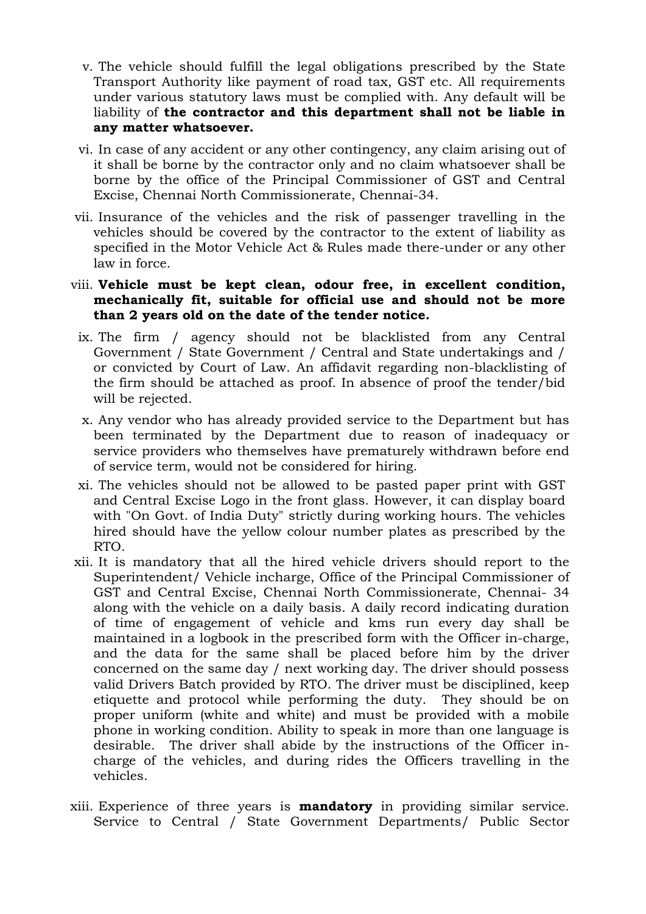- v. The vehicle should fulfill the legal obligations prescribed by the State Transport Authority like payment of road tax, GST etc. All requirements under various statutory laws must be complied with. Any default will be liability of **the contractor and this department shall not be liable in any matter whatsoever.**
- vi. In case of any accident or any other contingency, any claim arising out of it shall be borne by the contractor only and no claim whatsoever shall be borne by the office of the Principal Commissioner of GST and Central Excise, Chennai North Commissionerate, Chennai-34.
- vii. Insurance of the vehicles and the risk of passenger travelling in the vehicles should be covered by the contractor to the extent of liability as specified in the Motor Vehicle Act & Rules made there-under or any other law in force.
- viii. **Vehicle must be kept clean, odour free, in excellent condition, mechanically fit, suitable for official use and should not be more than 2 years old on the date of the tender notice.**
- ix. The firm / agency should not be blacklisted from any Central Government / State Government / Central and State undertakings and / or convicted by Court of Law. An affidavit regarding non-blacklisting of the firm should be attached as proof. In absence of proof the tender/bid will be rejected.
- x. Any vendor who has already provided service to the Department but has been terminated by the Department due to reason of inadequacy or service providers who themselves have prematurely withdrawn before end of service term, would not be considered for hiring.
- xi. The vehicles should not be allowed to be pasted paper print with GST and Central Excise Logo in the front glass. However, it can display board with "On Govt. of India Duty" strictly during working hours. The vehicles hired should have the yellow colour number plates as prescribed by the RTO.
- xii. It is mandatory that all the hired vehicle drivers should report to the Superintendent/ Vehicle incharge, Office of the Principal Commissioner of GST and Central Excise, Chennai North Commissionerate, Chennai- 34 along with the vehicle on a daily basis. A daily record indicating duration of time of engagement of vehicle and kms run every day shall be maintained in a logbook in the prescribed form with the Officer in-charge, and the data for the same shall be placed before him by the driver concerned on the same day / next working day. The driver should possess valid Drivers Batch provided by RTO. The driver must be disciplined, keep etiquette and protocol while performing the duty. They should be on proper uniform (white and white) and must be provided with a mobile phone in working condition. Ability to speak in more than one language is desirable. The driver shall abide by the instructions of the Officer incharge of the vehicles, and during rides the Officers travelling in the vehicles.
- xiii. Experience of three years is **mandatory** in providing similar service. Service to Central / State Government Departments/ Public Sector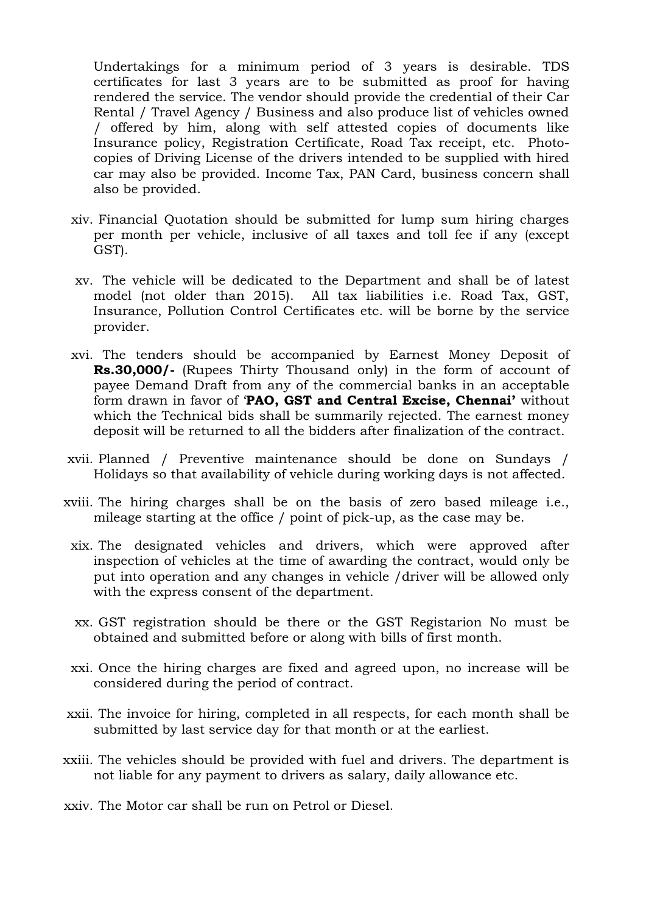Undertakings for a minimum period of 3 years is desirable. TDS certificates for last 3 years are to be submitted as proof for having rendered the service. The vendor should provide the credential of their Car Rental / Travel Agency / Business and also produce list of vehicles owned / offered by him, along with self attested copies of documents like Insurance policy, Registration Certificate, Road Tax receipt, etc. Photocopies of Driving License of the drivers intended to be supplied with hired car may also be provided. Income Tax, PAN Card, business concern shall also be provided.

- xiv. Financial Quotation should be submitted for lump sum hiring charges per month per vehicle, inclusive of all taxes and toll fee if any (except GST).
- xv. The vehicle will be dedicated to the Department and shall be of latest model (not older than 2015). All tax liabilities i.e. Road Tax, GST, Insurance, Pollution Control Certificates etc. will be borne by the service provider.
- xvi. The tenders should be accompanied by Earnest Money Deposit of **Rs.30,000/-** (Rupees Thirty Thousand only) in the form of account of payee Demand Draft from any of the commercial banks in an acceptable form drawn in favor of "**PAO, GST and Central Excise, Chennai"** without which the Technical bids shall be summarily rejected. The earnest money deposit will be returned to all the bidders after finalization of the contract.
- xvii. Planned / Preventive maintenance should be done on Sundays / Holidays so that availability of vehicle during working days is not affected.
- xviii. The hiring charges shall be on the basis of zero based mileage i.e., mileage starting at the office / point of pick-up, as the case may be.
	- xix. The designated vehicles and drivers, which were approved after inspection of vehicles at the time of awarding the contract, would only be put into operation and any changes in vehicle /driver will be allowed only with the express consent of the department.
	- xx. GST registration should be there or the GST Registarion No must be obtained and submitted before or along with bills of first month.
	- xxi. Once the hiring charges are fixed and agreed upon, no increase will be considered during the period of contract.
- xxii. The invoice for hiring, completed in all respects, for each month shall be submitted by last service day for that month or at the earliest.
- xxiii. The vehicles should be provided with fuel and drivers. The department is not liable for any payment to drivers as salary, daily allowance etc.

xxiv. The Motor car shall be run on Petrol or Diesel.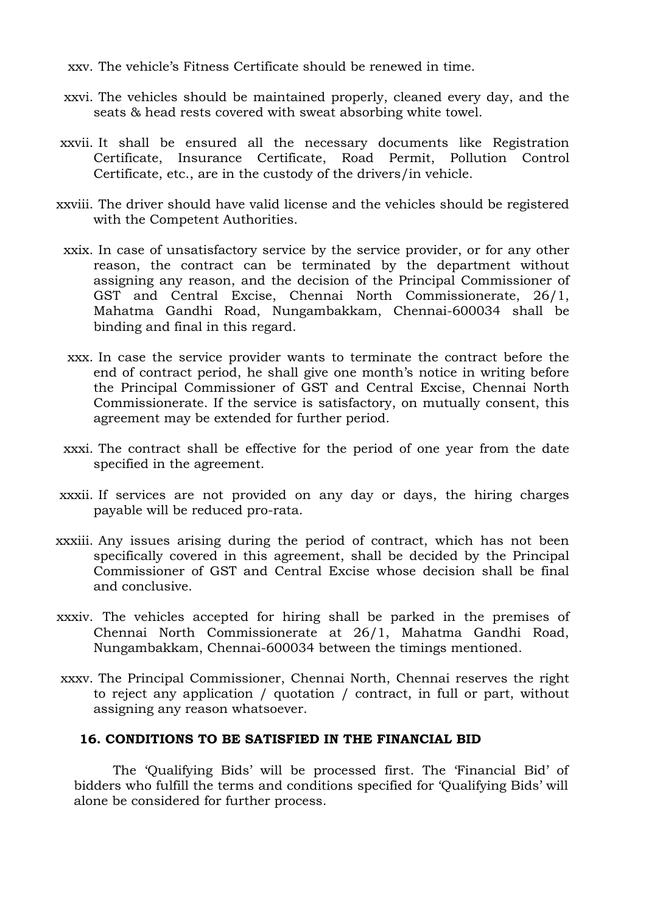xxv. The vehicle"s Fitness Certificate should be renewed in time.

- xxvi. The vehicles should be maintained properly, cleaned every day, and the seats & head rests covered with sweat absorbing white towel.
- xxvii. It shall be ensured all the necessary documents like Registration Certificate, Insurance Certificate, Road Permit, Pollution Control Certificate, etc., are in the custody of the drivers/in vehicle.
- xxviii. The driver should have valid license and the vehicles should be registered with the Competent Authorities.
	- xxix. In case of unsatisfactory service by the service provider, or for any other reason, the contract can be terminated by the department without assigning any reason, and the decision of the Principal Commissioner of GST and Central Excise, Chennai North Commissionerate, 26/1, Mahatma Gandhi Road, Nungambakkam, Chennai-600034 shall be binding and final in this regard.
	- xxx. In case the service provider wants to terminate the contract before the end of contract period, he shall give one month"s notice in writing before the Principal Commissioner of GST and Central Excise, Chennai North Commissionerate. If the service is satisfactory, on mutually consent, this agreement may be extended for further period.
- xxxi. The contract shall be effective for the period of one year from the date specified in the agreement.
- xxxii. If services are not provided on any day or days, the hiring charges payable will be reduced pro-rata.
- xxxiii. Any issues arising during the period of contract, which has not been specifically covered in this agreement, shall be decided by the Principal Commissioner of GST and Central Excise whose decision shall be final and conclusive.
- xxxiv. The vehicles accepted for hiring shall be parked in the premises of Chennai North Commissionerate at 26/1, Mahatma Gandhi Road, Nungambakkam, Chennai-600034 between the timings mentioned.
- xxxv. The Principal Commissioner, Chennai North, Chennai reserves the right to reject any application / quotation / contract, in full or part, without assigning any reason whatsoever.

#### **16. CONDITIONS TO BE SATISFIED IN THE FINANCIAL BID**

The "Qualifying Bids" will be processed first. The "Financial Bid" of bidders who fulfill the terms and conditions specified for "Qualifying Bids" will alone be considered for further process.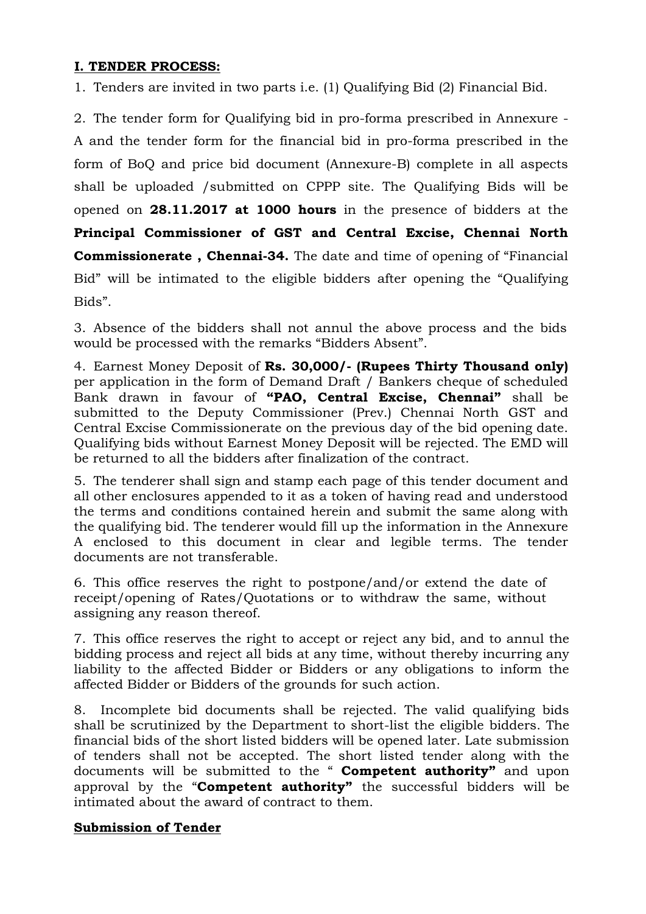## **I. TENDER PROCESS:**

1. Tenders are invited in two parts i.e. (1) Qualifying Bid (2) Financial Bid.

2. The tender form for Qualifying bid in pro-forma prescribed in Annexure - A and the tender form for the financial bid in pro-forma prescribed in the form of BoQ and price bid document (Annexure-B) complete in all aspects shall be uploaded /submitted on CPPP site. The Qualifying Bids will be opened on **28.11.2017 at 1000 hours** in the presence of bidders at the **Principal Commissioner of GST and Central Excise, Chennai North Commissionerate , Chennai-34.** The date and time of opening of "Financial Bid" will be intimated to the eligible bidders after opening the "Qualifying Bids".

3. Absence of the bidders shall not annul the above process and the bids would be processed with the remarks "Bidders Absent".

4. Earnest Money Deposit of **Rs. 30,000/- (Rupees Thirty Thousand only)** per application in the form of Demand Draft / Bankers cheque of scheduled Bank drawn in favour of **"PAO, Central Excise, Chennai"** shall be submitted to the Deputy Commissioner (Prev.) Chennai North GST and Central Excise Commissionerate on the previous day of the bid opening date. Qualifying bids without Earnest Money Deposit will be rejected. The EMD will be returned to all the bidders after finalization of the contract.

5. The tenderer shall sign and stamp each page of this tender document and all other enclosures appended to it as a token of having read and understood the terms and conditions contained herein and submit the same along with the qualifying bid. The tenderer would fill up the information in the Annexure A enclosed to this document in clear and legible terms. The tender documents are not transferable.

6. This office reserves the right to postpone/and/or extend the date of receipt/opening of Rates/Quotations or to withdraw the same, without assigning any reason thereof.

7. This office reserves the right to accept or reject any bid, and to annul the bidding process and reject all bids at any time, without thereby incurring any liability to the affected Bidder or Bidders or any obligations to inform the affected Bidder or Bidders of the grounds for such action.

8. Incomplete bid documents shall be rejected. The valid qualifying bids shall be scrutinized by the Department to short-list the eligible bidders. The financial bids of the short listed bidders will be opened later. Late submission of tenders shall not be accepted. The short listed tender along with the documents will be submitted to the " **Competent authority"** and upon approval by the "**Competent authority"** the successful bidders will be intimated about the award of contract to them.

## **Submission of Tender**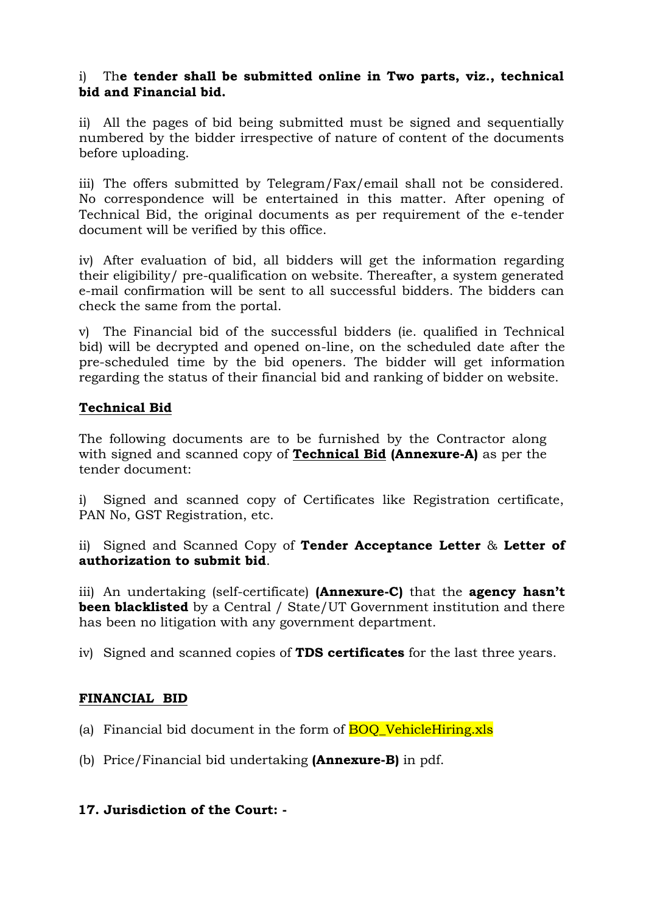## i) Th**e tender shall be submitted online in Two parts, viz., technical bid and Financial bid.**

ii) All the pages of bid being submitted must be signed and sequentially numbered by the bidder irrespective of nature of content of the documents before uploading.

iii) The offers submitted by Telegram/Fax/email shall not be considered. No correspondence will be entertained in this matter. After opening of Technical Bid, the original documents as per requirement of the e-tender document will be verified by this office.

iv) After evaluation of bid, all bidders will get the information regarding their eligibility/ pre-qualification on website. Thereafter, a system generated e-mail confirmation will be sent to all successful bidders. The bidders can check the same from the portal.

v) The Financial bid of the successful bidders (ie. qualified in Technical bid) will be decrypted and opened on-line, on the scheduled date after the pre-scheduled time by the bid openers. The bidder will get information regarding the status of their financial bid and ranking of bidder on website.

## **Technical Bid**

The following documents are to be furnished by the Contractor along with signed and scanned copy of **Technical Bid (Annexure-A)** as per the tender document:

i) Signed and scanned copy of Certificates like Registration certificate, PAN No, GST Registration, etc.

ii) Signed and Scanned Copy of **Tender Acceptance Letter** & **Letter of authorization to submit bid**.

iii) An undertaking (self-certificate) **(Annexure-C)** that the **agency hasn"t been blacklisted** by a Central / State/UT Government institution and there has been no litigation with any government department.

iv) Signed and scanned copies of **TDS certificates** for the last three years.

## **FINANCIAL BID**

(a) Financial bid document in the form of  $BOO$  VehicleHiring.xls

(b) Price/Financial bid undertaking **(Annexure-B)** in pdf.

## **17. Jurisdiction of the Court: -**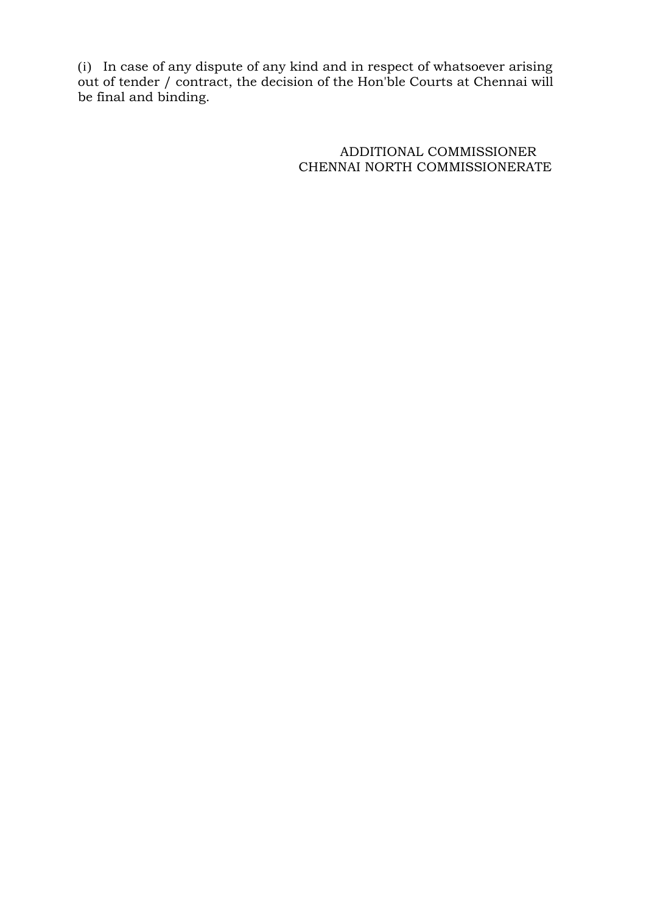(i) In case of any dispute of any kind and in respect of whatsoever arising out of tender / contract, the decision of the Hon'ble Courts at Chennai will be final and binding.

> ADDITIONAL COMMISSIONER CHENNAI NORTH COMMISSIONERATE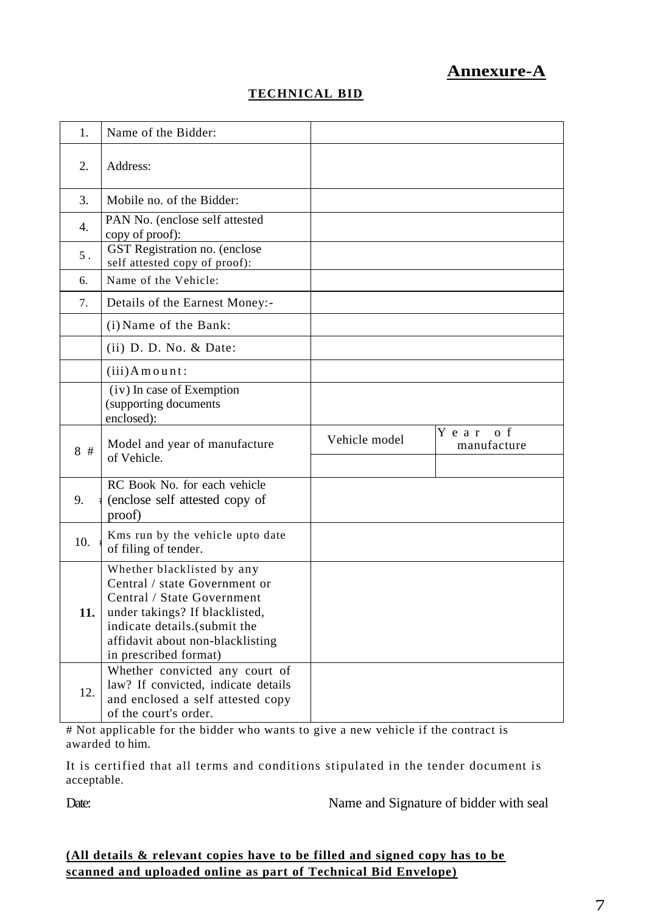# **Annexure-A**

# **TECHNICAL BID**

| 1.    | Name of the Bidder:                                                                                                                                                                                                      |               |                        |
|-------|--------------------------------------------------------------------------------------------------------------------------------------------------------------------------------------------------------------------------|---------------|------------------------|
| 2.    | Address:                                                                                                                                                                                                                 |               |                        |
| 3.    | Mobile no. of the Bidder:                                                                                                                                                                                                |               |                        |
| 4.    | PAN No. (enclose self attested<br>copy of proof):                                                                                                                                                                        |               |                        |
| $5$ . | GST Registration no. (enclose<br>self attested copy of proof):                                                                                                                                                           |               |                        |
| 6.    | Name of the Vehicle:                                                                                                                                                                                                     |               |                        |
| 7.    | Details of the Earnest Money:-                                                                                                                                                                                           |               |                        |
|       | (i) Name of the Bank:                                                                                                                                                                                                    |               |                        |
|       | $(ii)$ D. D. No. $&$ Date:                                                                                                                                                                                               |               |                        |
|       | $(iii)$ Amount:                                                                                                                                                                                                          |               |                        |
|       | (iv) In case of Exemption<br>(supporting documents<br>enclosed):                                                                                                                                                         |               |                        |
|       |                                                                                                                                                                                                                          |               |                        |
| 8#    | Model and year of manufacture<br>of Vehicle.                                                                                                                                                                             | Vehicle model | Year of<br>manufacture |
| 9.    | RC Book No. for each vehicle<br>(enclose self attested copy of<br>proof)                                                                                                                                                 |               |                        |
| 10.   | Kms run by the vehicle upto date<br>of filing of tender.                                                                                                                                                                 |               |                        |
| 11.   | Whether blacklisted by any<br>Central / state Government or<br>Central / State Government<br>under takings? If blacklisted,<br>indicate details.(submit the<br>affidavit about non-blacklisting<br>in prescribed format) |               |                        |

# Not applicable for the bidder who wants to give a new vehicle if the contract is awarded to him.

It is certified that all terms and conditions stipulated in the tender document is acceptable.

Date: Name and Signature of bidder with seal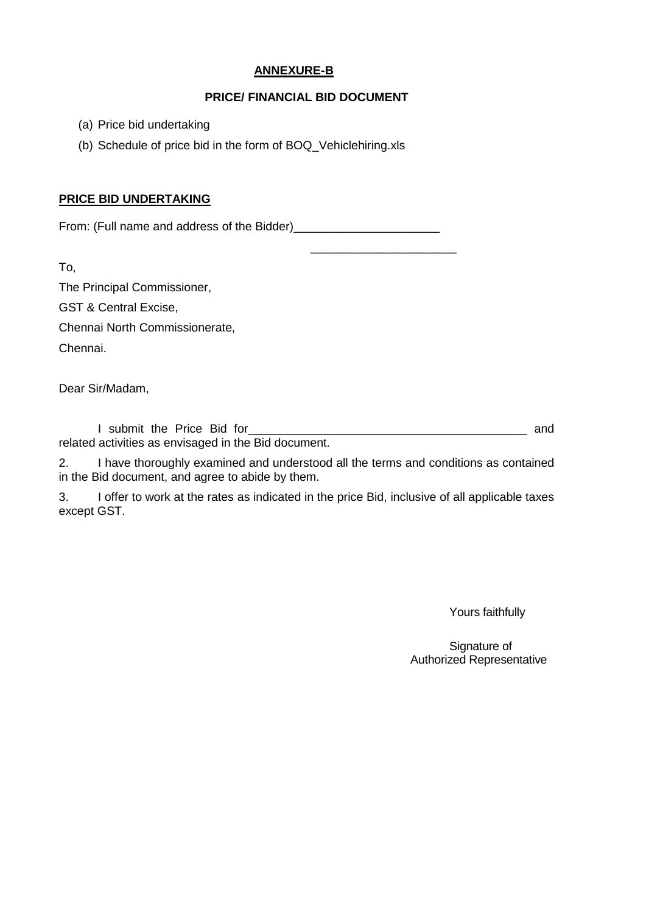#### **ANNEXURE-B**

#### **PRICE/ FINANCIAL BID DOCUMENT**

 $\frac{1}{2}$  ,  $\frac{1}{2}$  ,  $\frac{1}{2}$  ,  $\frac{1}{2}$  ,  $\frac{1}{2}$  ,  $\frac{1}{2}$  ,  $\frac{1}{2}$  ,  $\frac{1}{2}$  ,  $\frac{1}{2}$  ,  $\frac{1}{2}$  ,  $\frac{1}{2}$  ,  $\frac{1}{2}$  ,  $\frac{1}{2}$  ,  $\frac{1}{2}$  ,  $\frac{1}{2}$  ,  $\frac{1}{2}$  ,  $\frac{1}{2}$  ,  $\frac{1}{2}$  ,  $\frac{1$ 

- (a) Price bid undertaking
- (b) Schedule of price bid in the form of BOQ\_Vehiclehiring.xls

#### **PRICE BID UNDERTAKING**

From: (Full name and address of the Bidder)\_\_\_\_\_\_\_\_\_\_\_\_\_\_\_\_\_\_\_\_\_\_

To,

The Principal Commissioner,

GST & Central Excise,

Chennai North Commissionerate,

Chennai.

Dear Sir/Madam,

I submit the Price Bid for\_\_\_\_\_\_\_\_\_\_\_\_\_\_\_\_\_\_\_\_\_\_\_\_\_\_\_\_\_\_\_\_\_\_\_\_\_\_\_\_\_\_ and related activities as envisaged in the Bid document.

2. I have thoroughly examined and understood all the terms and conditions as contained in the Bid document, and agree to abide by them.

3. I offer to work at the rates as indicated in the price Bid, inclusive of all applicable taxes except GST.

Yours faithfully

Signature of Authorized Representative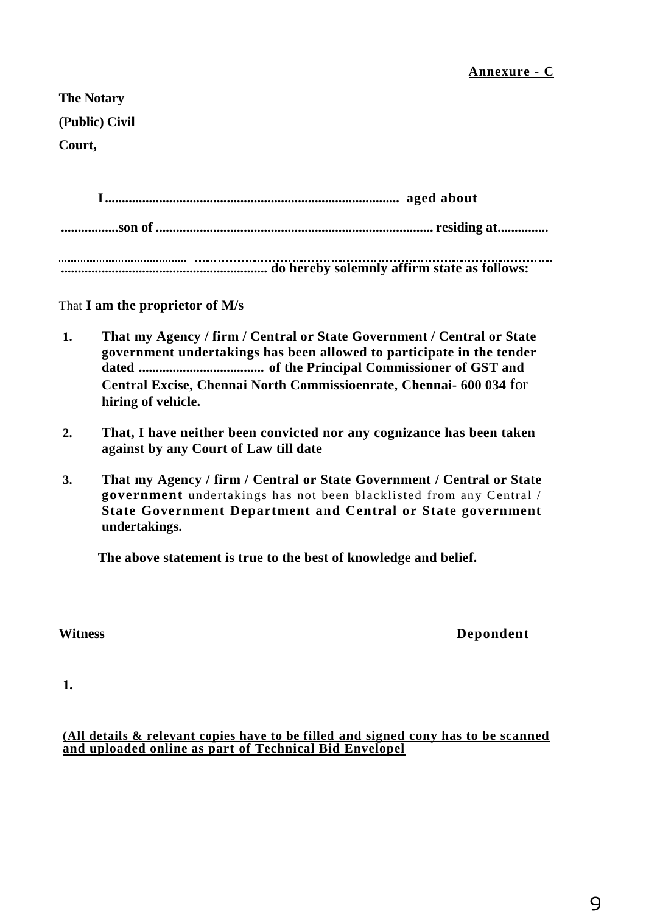**The Notary (Public) Civil** 

**Court,**

**I....................................................................................... aged about .................son of .................................................................................. residing at............... ............................................................. do hereby solemnly affirm state as follows:**

That **I am the proprietor of M/s**

- **1. That my Agency / firm / Central or State Government / Central or State government undertakings has been allowed to participate in the tender dated ..................................... of the Principal Commissioner of GST and Central Excise, Chennai North Commissioenrate, Chennai- 600 034** for **hiring of vehicle.**
- **2. That, I have neither been convicted nor any cognizance has been taken against by any Court of Law till date**
- **3. That my Agency / firm / Central or State Government / Central or State government** undertakings has not been blacklisted from any Central / **State Government Department and Central or State government undertakings.**

**The above statement is true to the best of knowledge and belief.**

**Witness Depondent**

**1.**

#### **(All details & relevant copies have to be filled and signed cony has to be scanned and uploaded online as part of Technical Bid Envelopel**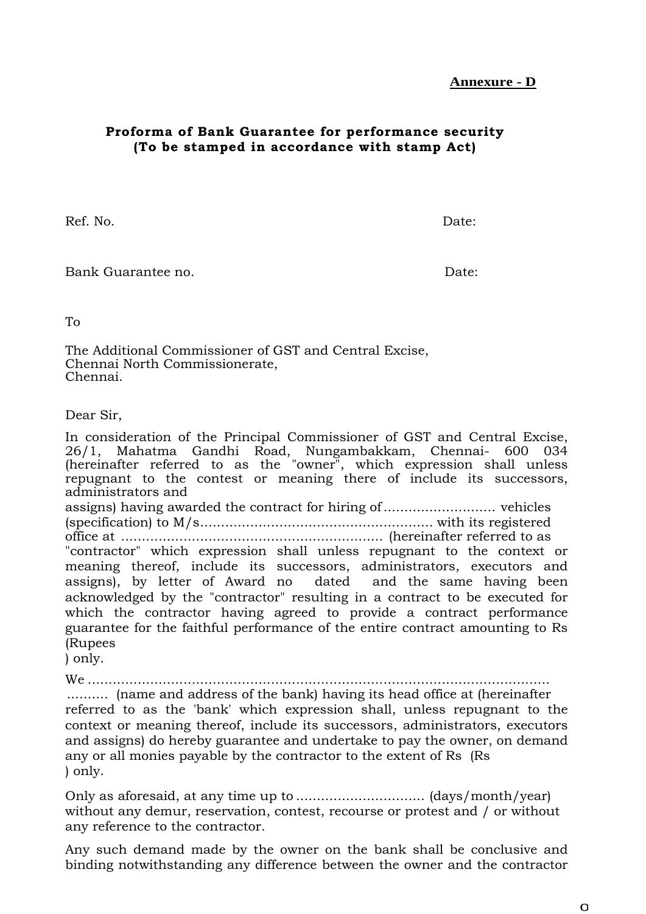## **Proforma of Bank Guarantee for performance security (To be stamped in accordance with stamp Act)**

Ref. No. Date:

Bank Guarantee no. **Date:** Date: **Date:** Date: **Date:** Date: **Date: Date: Date: Date: Date: Date: Date: Date: Date: Date: Date: Date: Date: Date: Date: Date: Date: Date: Date: Date:**

To

The Additional Commissioner of GST and Central Excise, Chennai North Commissionerate, Chennai.

Dear Sir,

In consideration of the Principal Commissioner of GST and Central Excise, 26/1, Mahatma Gandhi Road, Nungambakkam, Chennai- 600 034 (hereinafter referred to as the "owner", which expression shall unless repugnant to the contest or meaning there of include its successors, administrators and assigns) having awarded the contract for hiring of........................... vehicles (specification) to M/s........................................................ with its registered office at ............................................................... (hereinafter referred to as "contractor" which expression shall unless repugnant to the context or meaning thereof, include its successors, administrators, executors and assigns), by letter of Award no dated and the same having been acknowledged by the "contractor" resulting in a contract to be executed for which the contractor having agreed to provide a contract performance guarantee for the faithful performance of the entire contract amounting to Rs (Rupees

) only.

We ...............................................................................................................

.......... (name and address of the bank) having its head office at (hereinafter referred to as the 'bank' which expression shall, unless repugnant to the context or meaning thereof, include its successors, administrators, executors and assigns) do hereby guarantee and undertake to pay the owner, on demand any or all monies payable by the contractor to the extent of Rs (Rs ) only.

Only as aforesaid, at any time up to ............................... (days/month/year) without any demur, reservation, contest, recourse or protest and / or without any reference to the contractor.

Any such demand made by the owner on the bank shall be conclusive and binding notwithstanding any difference between the owner and the contractor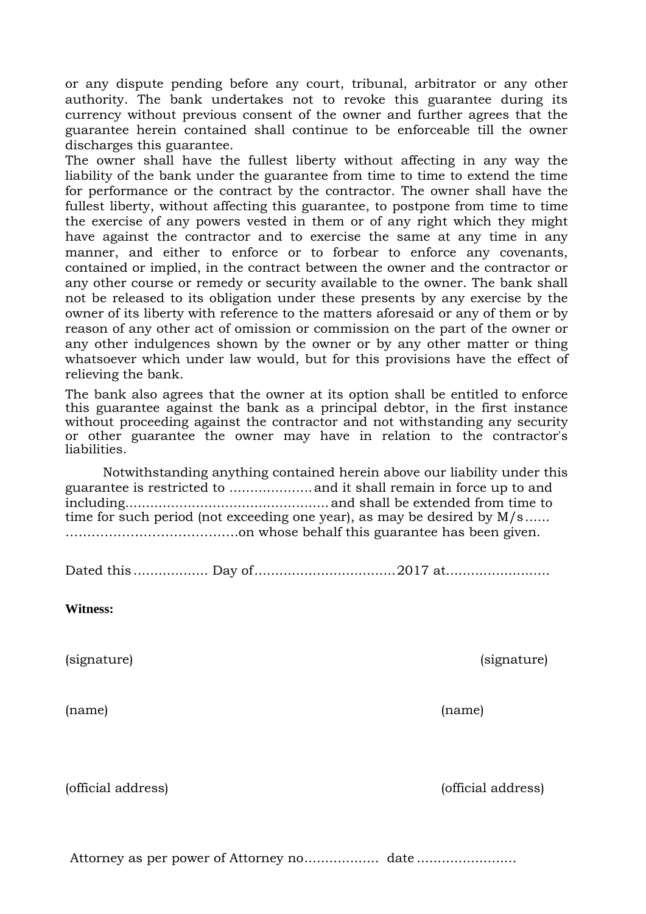or any dispute pending before any court, tribunal, arbitrator or any other authority. The bank undertakes not to revoke this guarantee during its currency without previous consent of the owner and further agrees that the guarantee herein contained shall continue to be enforceable till the owner discharges this guarantee.

The owner shall have the fullest liberty without affecting in any way the liability of the bank under the guarantee from time to time to extend the time for performance or the contract by the contractor. The owner shall have the fullest liberty, without affecting this guarantee, to postpone from time to time the exercise of any powers vested in them or of any right which they might have against the contractor and to exercise the same at any time in any manner, and either to enforce or to forbear to enforce any covenants, contained or implied, in the contract between the owner and the contractor or any other course or remedy or security available to the owner. The bank shall not be released to its obligation under these presents by any exercise by the owner of its liberty with reference to the matters aforesaid or any of them or by reason of any other act of omission or commission on the part of the owner or any other indulgences shown by the owner or by any other matter or thing whatsoever which under law would, but for this provisions have the effect of relieving the bank.

The bank also agrees that the owner at its option shall be entitled to enforce this guarantee against the bank as a principal debtor, in the first instance without proceeding against the contractor and not withstanding any security or other guarantee the owner may have in relation to the contractor's liabilities.

Notwithstanding anything contained herein above our liability under this guarantee is restricted to ....................and it shall remain in force up to and including.................................................and shall be extended from time to time for such period (not exceeding one year), as may be desired by M/s...... ………………………………….on whose behalf this guarantee has been given.

Dated this .................. Day of..................................2017 at.........................

**Witness:**

(name) (name)

(official address) (official address)

Attorney as per power of Attorney no.................. date ........................

(signature) (signature)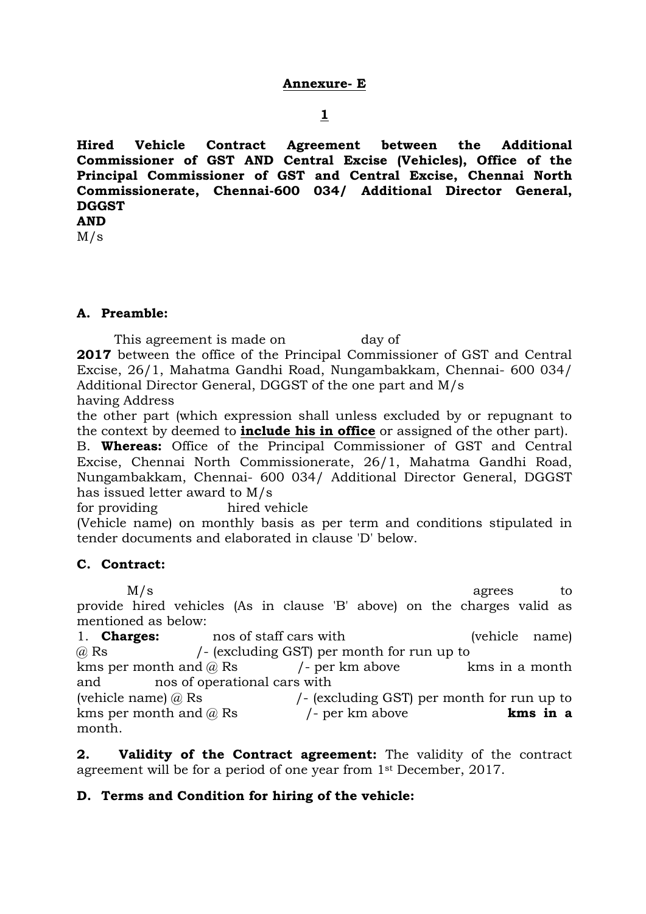**1**

**Hired Vehicle Contract Agreement between the Additional Commissioner of GST AND Central Excise (Vehicles), Office of the Principal Commissioner of GST and Central Excise, Chennai North Commissionerate, Chennai-600 034/ Additional Director General, DGGST AND**

M/s

## **A. Preamble:**

This agreement is made on day of **2017** between the office of the Principal Commissioner of GST and Central Excise, 26/1, Mahatma Gandhi Road, Nungambakkam, Chennai- 600 034/ Additional Director General, DGGST of the one part and M/s having Address

the other part (which expression shall unless excluded by or repugnant to the context by deemed to **include his in office** or assigned of the other part).

B. **Whereas:** Office of the Principal Commissioner of GST and Central Excise, Chennai North Commissionerate, 26/1, Mahatma Gandhi Road, Nungambakkam, Chennai- 600 034/ Additional Director General, DGGST has issued letter award to M/s

for providing hired vehicle

(Vehicle name) on monthly basis as per term and conditions stipulated in tender documents and elaborated in clause 'D' below.

## **C. Contract:**

M/s agrees to provide hired vehicles (As in clause 'B' above) on the charges valid as mentioned as below:

1. **Charges:** nos of staff cars with (vehicle name) @ Rs /- (excluding GST) per month for run up to kms per month and  $\omega$  Rs  $/$ - per km above kms in a month and nos of operational cars with (vehicle name)  $\omega$  Rs  $/$ - (excluding GST) per month for run up to kms per month and @ Rs /- per km above **kms in a**  month.

**2. Validity of the Contract agreement:** The validity of the contract agreement will be for a period of one year from 1st December, 2017.

## **D. Terms and Condition for hiring of the vehicle:**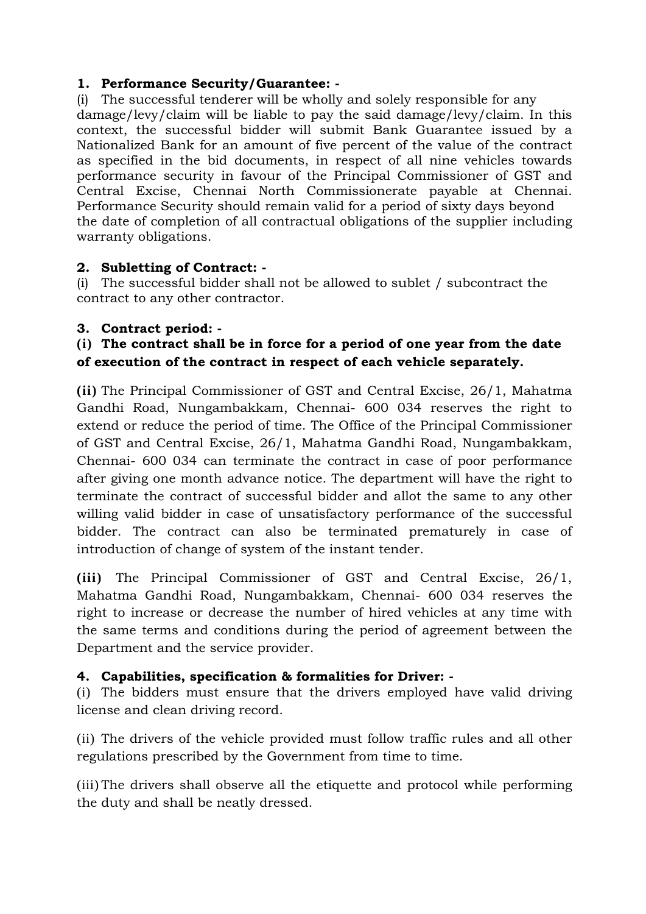# **1. Performance Security/Guarantee: -**

(i) The successful tenderer will be wholly and solely responsible for any damage/levy/claim will be liable to pay the said damage/levy/claim. In this context, the successful bidder will submit Bank Guarantee issued by a Nationalized Bank for an amount of five percent of the value of the contract as specified in the bid documents, in respect of all nine vehicles towards performance security in favour of the Principal Commissioner of GST and Central Excise, Chennai North Commissionerate payable at Chennai. Performance Security should remain valid for a period of sixty days beyond the date of completion of all contractual obligations of the supplier including warranty obligations.

# **2. Subletting of Contract: -**

(i) The successful bidder shall not be allowed to sublet / subcontract the contract to any other contractor.

# **3. Contract period: -**

# **(i) The contract shall be in force for a period of one year from the date of execution of the contract in respect of each vehicle separately.**

**(ii)** The Principal Commissioner of GST and Central Excise, 26/1, Mahatma Gandhi Road, Nungambakkam, Chennai- 600 034 reserves the right to extend or reduce the period of time. The Office of the Principal Commissioner of GST and Central Excise, 26/1, Mahatma Gandhi Road, Nungambakkam, Chennai- 600 034 can terminate the contract in case of poor performance after giving one month advance notice. The department will have the right to terminate the contract of successful bidder and allot the same to any other willing valid bidder in case of unsatisfactory performance of the successful bidder. The contract can also be terminated prematurely in case of introduction of change of system of the instant tender.

**(iii)** The Principal Commissioner of GST and Central Excise, 26/1, Mahatma Gandhi Road, Nungambakkam, Chennai- 600 034 reserves the right to increase or decrease the number of hired vehicles at any time with the same terms and conditions during the period of agreement between the Department and the service provider.

# **4. Capabilities, specification & formalities for Driver: -**

(i) The bidders must ensure that the drivers employed have valid driving license and clean driving record.

(ii) The drivers of the vehicle provided must follow traffic rules and all other regulations prescribed by the Government from time to time.

(iii) The drivers shall observe all the etiquette and protocol while performing the duty and shall be neatly dressed.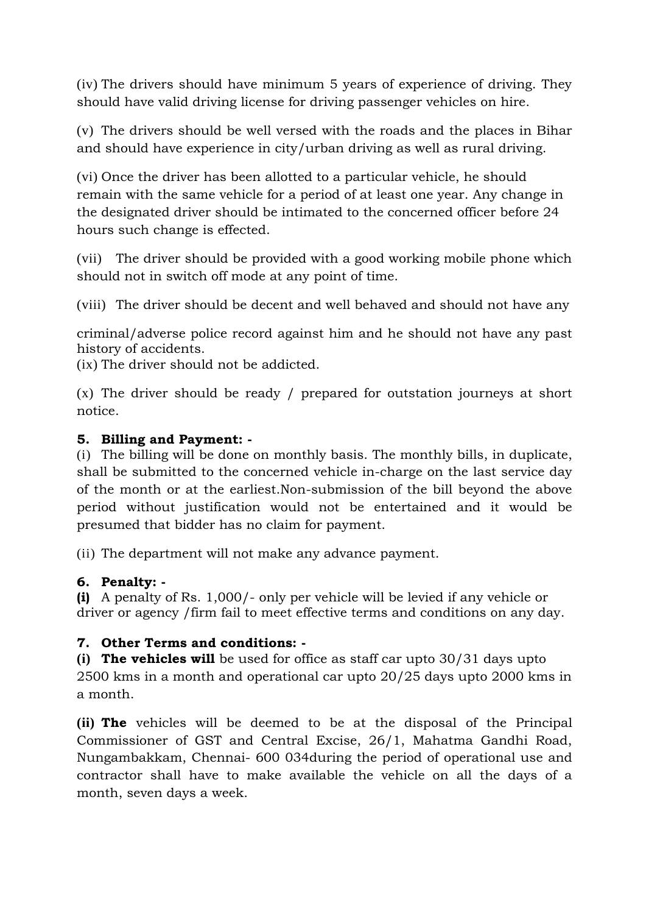(iv) The drivers should have minimum 5 years of experience of driving. They should have valid driving license for driving passenger vehicles on hire.

(v) The drivers should be well versed with the roads and the places in Bihar and should have experience in city/urban driving as well as rural driving.

(vi) Once the driver has been allotted to a particular vehicle, he should remain with the same vehicle for a period of at least one year. Any change in the designated driver should be intimated to the concerned officer before 24 hours such change is effected.

(vii) The driver should be provided with a good working mobile phone which should not in switch off mode at any point of time.

(viii) The driver should be decent and well behaved and should not have any

criminal/adverse police record against him and he should not have any past history of accidents.

(ix) The driver should not be addicted.

(x) The driver should be ready / prepared for outstation journeys at short notice.

## **5. Billing and Payment: -**

(i) The billing will be done on monthly basis. The monthly bills, in duplicate, shall be submitted to the concerned vehicle in-charge on the last service day of the month or at the earliest.Non-submission of the bill beyond the above period without justification would not be entertained and it would be presumed that bidder has no claim for payment.

(ii) The department will not make any advance payment.

## **6. Penalty: -**

**(i)** A penalty of Rs. 1,000/- only per vehicle will be levied if any vehicle or driver or agency /firm fail to meet effective terms and conditions on any day.

## **7. Other Terms and conditions: -**

**(i) The vehicles will** be used for office as staff car upto 30/31 days upto 2500 kms in a month and operational car upto 20/25 days upto 2000 kms in a month.

**(ii) The** vehicles will be deemed to be at the disposal of the Principal Commissioner of GST and Central Excise, 26/1, Mahatma Gandhi Road, Nungambakkam, Chennai- 600 034during the period of operational use and contractor shall have to make available the vehicle on all the days of a month, seven days a week.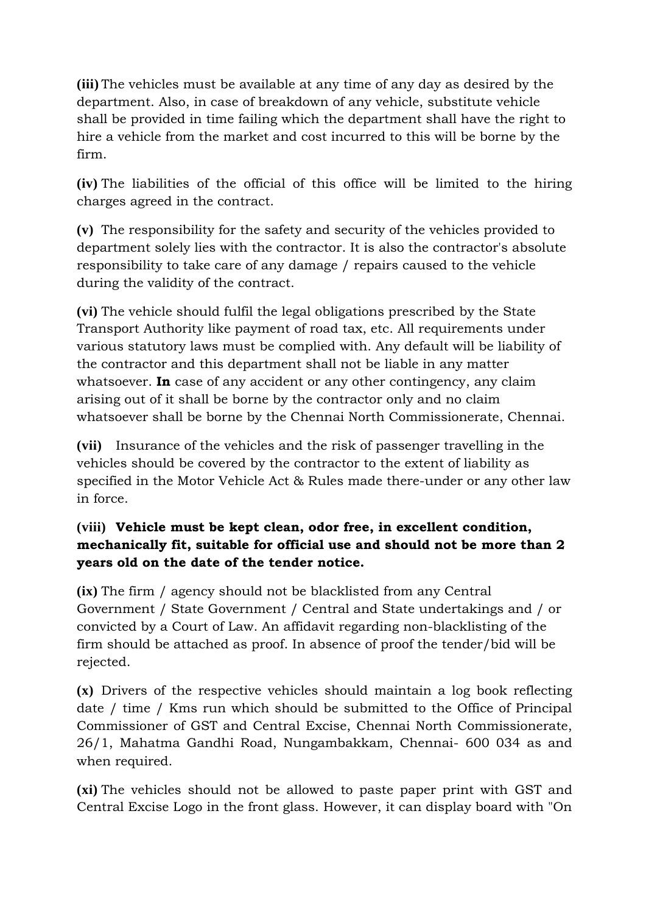**(iii)** The vehicles must be available at any time of any day as desired by the department. Also, in case of breakdown of any vehicle, substitute vehicle shall be provided in time failing which the department shall have the right to hire a vehicle from the market and cost incurred to this will be borne by the firm.

**(iv)** The liabilities of the official of this office will be limited to the hiring charges agreed in the contract.

**(v)** The responsibility for the safety and security of the vehicles provided to department solely lies with the contractor. It is also the contractor's absolute responsibility to take care of any damage / repairs caused to the vehicle during the validity of the contract.

**(vi)** The vehicle should fulfil the legal obligations prescribed by the State Transport Authority like payment of road tax, etc. All requirements under various statutory laws must be complied with. Any default will be liability of the contractor and this department shall not be liable in any matter whatsoever. **In** case of any accident or any other contingency, any claim arising out of it shall be borne by the contractor only and no claim whatsoever shall be borne by the Chennai North Commissionerate, Chennai.

**(vii)** Insurance of the vehicles and the risk of passenger travelling in the vehicles should be covered by the contractor to the extent of liability as specified in the Motor Vehicle Act & Rules made there-under or any other law in force.

# **(viii) Vehicle must be kept clean, odor free, in excellent condition, mechanically fit, suitable for official use and should not be more than 2 years old on the date of the tender notice.**

**(ix)** The firm / agency should not be blacklisted from any Central Government / State Government / Central and State undertakings and / or convicted by a Court of Law. An affidavit regarding non-blacklisting of the firm should be attached as proof. In absence of proof the tender/bid will be rejected.

**(x)** Drivers of the respective vehicles should maintain a log book reflecting date / time / Kms run which should be submitted to the Office of Principal Commissioner of GST and Central Excise, Chennai North Commissionerate, 26/1, Mahatma Gandhi Road, Nungambakkam, Chennai- 600 034 as and when required.

**(xi)** The vehicles should not be allowed to paste paper print with GST and Central Excise Logo in the front glass. However, it can display board with "On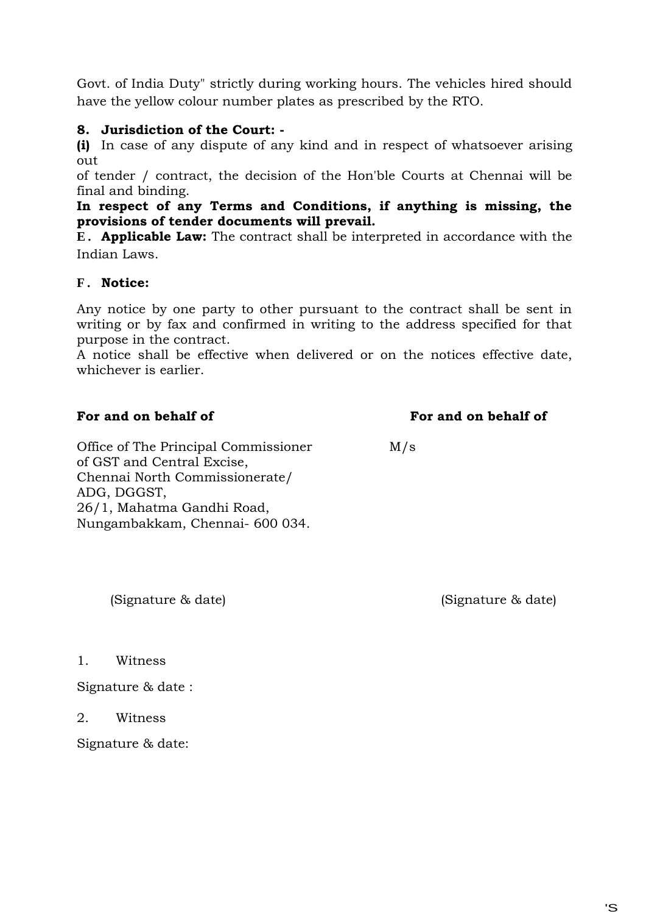Govt. of India Duty" strictly during working hours. The vehicles hired should have the yellow colour number plates as prescribed by the RTO.

## **8. Jurisdiction of the Court: -**

**(i)** In case of any dispute of any kind and in respect of whatsoever arising out

of tender / contract, the decision of the Hon'ble Courts at Chennai will be final and binding.

**In respect of any Terms and Conditions, if anything is missing, the provisions of tender documents will prevail.**

**E . Applicable Law:** The contract shall be interpreted in accordance with the Indian Laws.

## **F . Notice:**

Any notice by one party to other pursuant to the contract shall be sent in writing or by fax and confirmed in writing to the address specified for that purpose in the contract.

A notice shall be effective when delivered or on the notices effective date, whichever is earlier.

## **For and on behalf of For and on behalf of**

Office of The Principal Commissioner M/s of GST and Central Excise, Chennai North Commissionerate/ ADG, DGGST, 26/1, Mahatma Gandhi Road, Nungambakkam, Chennai- 600 034.

(Signature & date) (Signature & date)

1. Witness

Signature & date :

2. Witness

Signature & date: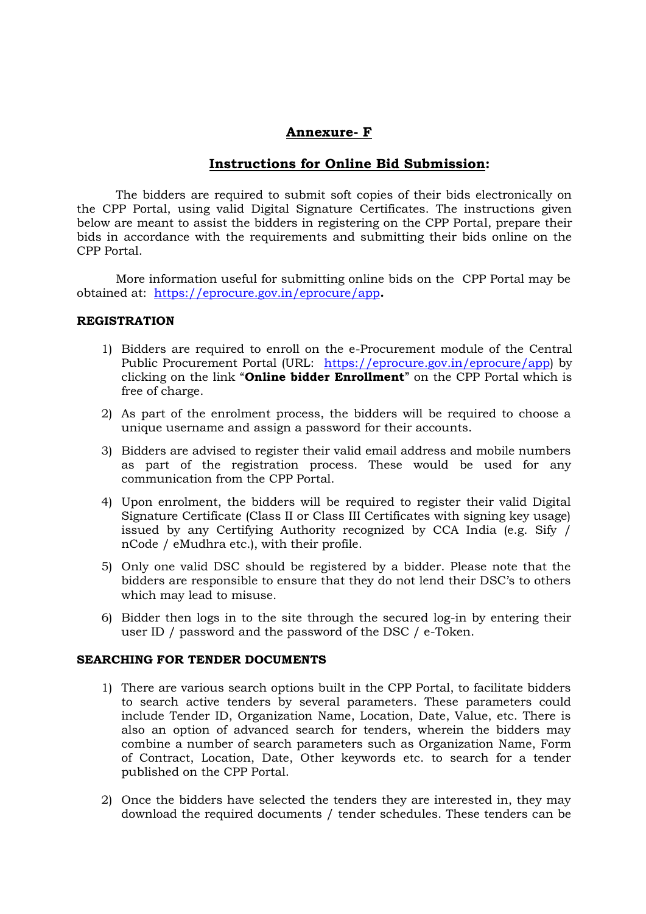## **Annexure- F**

#### **Instructions for Online Bid Submission:**

The bidders are required to submit soft copies of their bids electronically on the CPP Portal, using valid Digital Signature Certificates. The instructions given below are meant to assist the bidders in registering on the CPP Portal, prepare their bids in accordance with the requirements and submitting their bids online on the CPP Portal.

More information useful for submitting online bids on the CPP Portal may be obtained at: https://eprocure.gov.in/eprocure/app**.**

#### **REGISTRATION**

- 1) Bidders are required to enroll on the e-Procurement module of the Central Public Procurement Portal (URL: https://eprocure.gov.in/eprocure/app) by clicking on the link "**Online bidder Enrollment**" on the CPP Portal which is free of charge.
- 2) As part of the enrolment process, the bidders will be required to choose a unique username and assign a password for their accounts.
- 3) Bidders are advised to register their valid email address and mobile numbers as part of the registration process. These would be used for any communication from the CPP Portal.
- 4) Upon enrolment, the bidders will be required to register their valid Digital Signature Certificate (Class II or Class III Certificates with signing key usage) issued by any Certifying Authority recognized by CCA India (e.g. Sify / nCode / eMudhra etc.), with their profile.
- 5) Only one valid DSC should be registered by a bidder. Please note that the bidders are responsible to ensure that they do not lend their DSC"s to others which may lead to misuse.
- 6) Bidder then logs in to the site through the secured log-in by entering their user ID / password and the password of the DSC / e-Token.

#### **SEARCHING FOR TENDER DOCUMENTS**

- 1) There are various search options built in the CPP Portal, to facilitate bidders to search active tenders by several parameters. These parameters could include Tender ID, Organization Name, Location, Date, Value, etc. There is also an option of advanced search for tenders, wherein the bidders may combine a number of search parameters such as Organization Name, Form of Contract, Location, Date, Other keywords etc. to search for a tender published on the CPP Portal.
- 2) Once the bidders have selected the tenders they are interested in, they may download the required documents / tender schedules. These tenders can be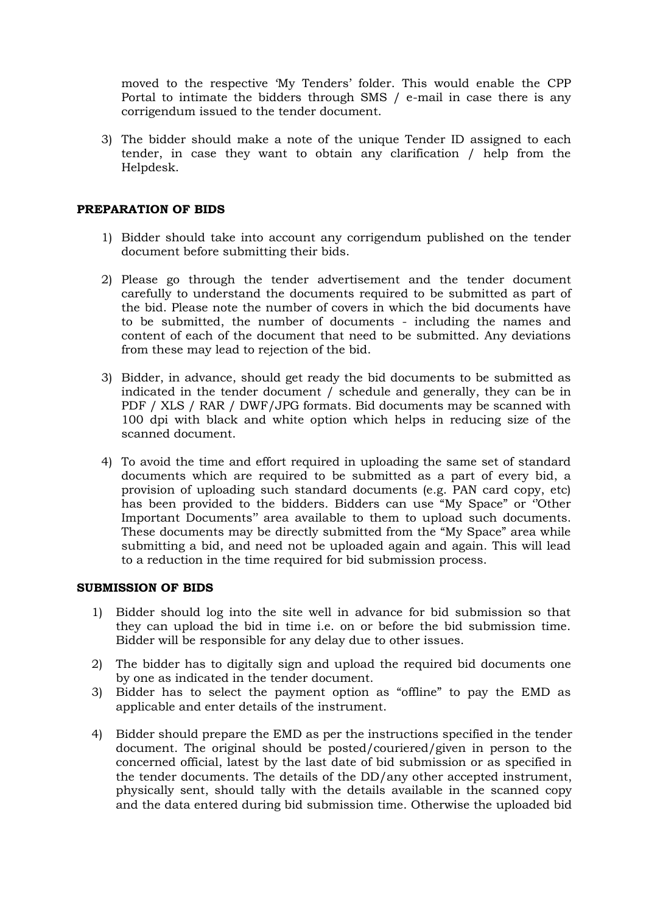moved to the respective "My Tenders" folder. This would enable the CPP Portal to intimate the bidders through SMS / e-mail in case there is any corrigendum issued to the tender document.

3) The bidder should make a note of the unique Tender ID assigned to each tender, in case they want to obtain any clarification / help from the Helpdesk.

#### **PREPARATION OF BIDS**

- 1) Bidder should take into account any corrigendum published on the tender document before submitting their bids.
- 2) Please go through the tender advertisement and the tender document carefully to understand the documents required to be submitted as part of the bid. Please note the number of covers in which the bid documents have to be submitted, the number of documents - including the names and content of each of the document that need to be submitted. Any deviations from these may lead to rejection of the bid.
- 3) Bidder, in advance, should get ready the bid documents to be submitted as indicated in the tender document / schedule and generally, they can be in PDF / XLS / RAR / DWF/JPG formats. Bid documents may be scanned with 100 dpi with black and white option which helps in reducing size of the scanned document.
- 4) To avoid the time and effort required in uploading the same set of standard documents which are required to be submitted as a part of every bid, a provision of uploading such standard documents (e.g. PAN card copy, etc) has been provided to the bidders. Bidders can use "My Space" or "Other Important Documents" area available to them to upload such documents. These documents may be directly submitted from the "My Space" area while submitting a bid, and need not be uploaded again and again. This will lead to a reduction in the time required for bid submission process.

#### **SUBMISSION OF BIDS**

- 1) Bidder should log into the site well in advance for bid submission so that they can upload the bid in time i.e. on or before the bid submission time. Bidder will be responsible for any delay due to other issues.
- 2) The bidder has to digitally sign and upload the required bid documents one by one as indicated in the tender document.
- 3) Bidder has to select the payment option as "offline" to pay the EMD as applicable and enter details of the instrument.
- 4) Bidder should prepare the EMD as per the instructions specified in the tender document. The original should be posted/couriered/given in person to the concerned official, latest by the last date of bid submission or as specified in the tender documents. The details of the DD/any other accepted instrument, physically sent, should tally with the details available in the scanned copy and the data entered during bid submission time. Otherwise the uploaded bid